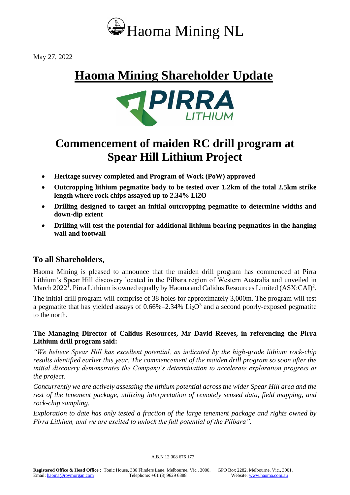

May 27, 2022

# **Haoma Mining Shareholder Update**



## **Commencement of maiden RC drill program at Spear Hill Lithium Project**

- **Heritage survey completed and Program of Work (PoW) approved**
- **Outcropping lithium pegmatite body to be tested over 1.2km of the total 2.5km strike length where rock chips assayed up to 2.34% Li2O**
- **Drilling designed to target an initial outcropping pegmatite to determine widths and down-dip extent**
- **Drilling will test the potential for additional lithium bearing pegmatites in the hanging wall and footwall**

## **To all Shareholders,**

Haoma Mining is pleased to announce that the maiden drill program has commenced at Pirra Lithium's Spear Hill discovery located in the Pilbara region of Western Australia and unveiled in March 2022<sup>1</sup>. Pirra Lithium is owned equally by Haoma and Calidus Resources Limited (ASX:CAI)<sup>2</sup>.

The initial drill program will comprise of 38 holes for approximately 3,000m. The program will test a pegmatite that has yielded assays of  $0.66\% - 2.34\%$  Li<sub>2</sub>O<sup>3</sup> and a second poorly-exposed pegmatite to the north.

## **The Managing Director of Calidus Resources, Mr David Reeves, in referencing the Pirra Lithium drill program said:**

*"We believe Spear Hill has excellent potential, as indicated by the high-grade lithium rock-chip results identified earlier this year. The commencement of the maiden drill program so soon after the initial discovery demonstrates the Company's determination to accelerate exploration progress at the project.*

*Concurrently we are actively assessing the lithium potential across the wider Spear Hill area and the rest of the tenement package, utilizing interpretation of remotely sensed data, field mapping, and rock-chip sampling.* 

*Exploration to date has only tested a fraction of the large tenement package and rights owned by Pirra Lithium, and we are excited to unlock the full potential of the Pilbara".*

A.B.N 12 008 676 177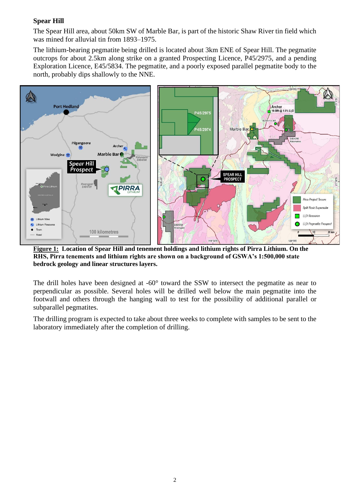## **Spear Hill**

The Spear Hill area, about 50km SW of Marble Bar, is part of the historic Shaw River tin field which was mined for alluvial tin from 1893–1975.

The lithium-bearing pegmatite being drilled is located about 3km ENE of Spear Hill. The pegmatite outcrops for about 2.5km along strike on a granted Prospecting Licence, P45/2975, and a pending Exploration Licence, E45/5834. The pegmatite, and a poorly exposed parallel pegmatite body to the north, probably dips shallowly to the NNE.



**Figure 1: Location of Spear Hill and tenement holdings and lithium rights of Pirra Lithium. On the RHS, Pirra tenements and lithium rights are shown on a background of GSWA's 1:500,000 state bedrock geology and linear structures layers.**

The drill holes have been designed at -60° toward the SSW to intersect the pegmatite as near to perpendicular as possible. Several holes will be drilled well below the main pegmatite into the footwall and others through the hanging wall to test for the possibility of additional parallel or subparallel pegmatites.

The drilling program is expected to take about three weeks to complete with samples to be sent to the laboratory immediately after the completion of drilling.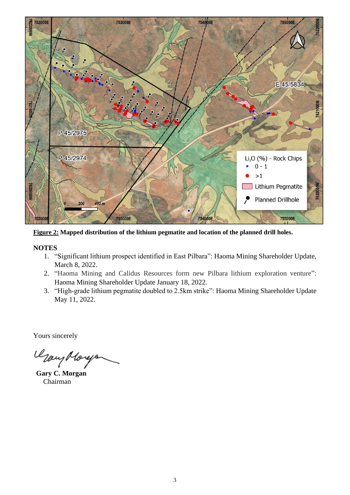

**Figure 2: Mapped distribution of the lithium pegmatite and location of the planned drill holes.**

#### **NOTES**

- 1. "Significant lithium prospect identified in East Pilbara": Haoma Mining Shareholder Update, March 8, 2022.
- 2. "Haoma Mining and Calidus Resources form new Pilbara lithium exploration venture": Haoma Mining Shareholder Update January 18, 2022.
- 3. "High-grade lithium pegmatite doubled to 2.5km strike": Haoma Mining Shareholder Update May 11, 2022.

Yours sincerely

Usay Moreja

 **Gary C. Morgan** Chairman